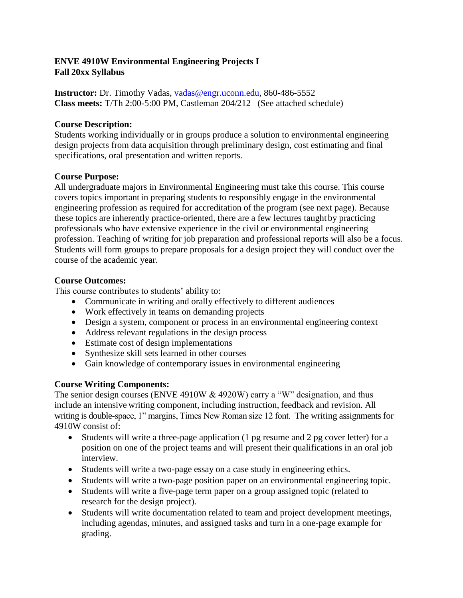# **ENVE 4910W Environmental Engineering Projects I Fall 20xx Syllabus**

**Instructor:** Dr. Timothy Vadas, [vadas@engr.uconn.edu,](mailto:vadas@engr.uconn.edu) 860-486-5552 **Class meets:** T/Th 2:00-5:00 PM, Castleman 204/212 (See attached schedule)

# **Course Description:**

Students working individually or in groups produce a solution to environmental engineering design projects from data acquisition through preliminary design, cost estimating and final specifications, oral presentation and written reports.

### **Course Purpose:**

All undergraduate majors in Environmental Engineering must take this course. This course covers topics important in preparing students to responsibly engage in the environmental engineering profession as required for accreditation of the program (see next page). Because these topics are inherently practice-oriented, there are a few lectures taught by practicing professionals who have extensive experience in the civil or environmental engineering profession. Teaching of writing for job preparation and professional reports will also be a focus. Students will form groups to prepare proposals for a design project they will conduct over the course of the academic year.

### **Course Outcomes:**

This course contributes to students' ability to:

- Communicate in writing and orally effectively to different audiences
- Work effectively in teams on demanding projects
- Design a system, component or process in an environmental engineering context
- Address relevant regulations in the design process
- Estimate cost of design implementations
- Synthesize skill sets learned in other courses
- Gain knowledge of contemporary issues in environmental engineering

# **Course Writing Components:**

The senior design courses (ENVE 4910W & 4920W) carry a "W" designation, and thus include an intensive writing component, including instruction, feedback and revision. All writing is double-space, 1" margins, Times New Roman size 12 font. The writing assignments for 4910W consist of:

- Students will write a three-page application (1 pg resume and 2 pg cover letter) for a position on one of the project teams and will present their qualifications in an oral job interview.
- Students will write a two-page essay on a case study in engineering ethics.
- Students will write a two-page position paper on an environmental engineering topic.
- Students will write a five-page term paper on a group assigned topic (related to research for the design project).
- Students will write documentation related to team and project development meetings, including agendas, minutes, and assigned tasks and turn in a one-page example for grading.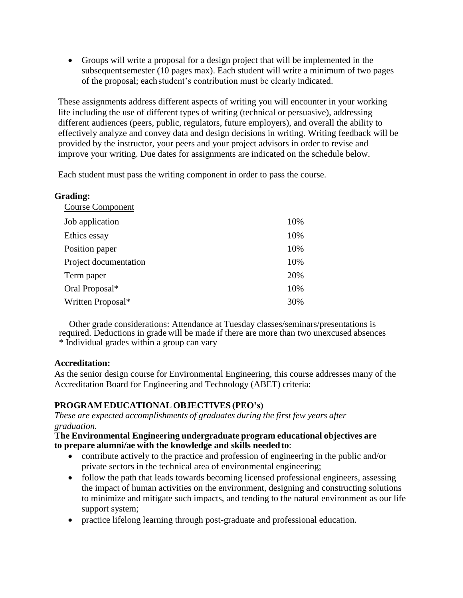Groups will write a proposal for a design project that will be implemented in the subsequentsemester (10 pages max). Each student will write a minimum of two pages of the proposal; eachstudent's contribution must be clearly indicated.

These assignments address different aspects of writing you will encounter in your working life including the use of different types of writing (technical or persuasive), addressing different audiences (peers, public, regulators, future employers), and overall the ability to effectively analyze and convey data and design decisions in writing. Writing feedback will be provided by the instructor, your peers and your project advisors in order to revise and improve your writing. Due dates for assignments are indicated on the schedule below.

Each student must pass the writing component in order to pass the course.

| <b>Grading:</b>     |  |
|---------------------|--|
| $\alpha$ $\alpha$ . |  |

| <b>Course Component</b> |     |
|-------------------------|-----|
| Job application         | 10% |
| Ethics essay            | 10% |
| Position paper          | 10% |
| Project documentation   | 10% |
| Term paper              | 20% |
| Oral Proposal*          | 10% |
| Written Proposal*       | 30% |

Other grade considerations: Attendance at Tuesday classes/seminars/presentations is required. Deductions in grade will be made if there are more than two unexcused absences \* Individual grades within a group can vary

# **Accreditation:**

As the senior design course for Environmental Engineering, this course addresses many of the Accreditation Board for Engineering and Technology (ABET) criteria:

# **PROGRAM EDUCATIONAL OBJECTIVES (PEO's)**

*These are expected accomplishments of graduates during the first few years after graduation.*

#### **The Environmental Engineering undergraduate program educational objectives are to prepare alumni/ae with the knowledge and skills neededto**:

- contribute actively to the practice and profession of engineering in the public and/or private sectors in the technical area of environmental engineering;
- follow the path that leads towards becoming licensed professional engineers, assessing the impact of human activities on the environment, designing and constructing solutions to minimize and mitigate such impacts, and tending to the natural environment as our life support system;
- practice lifelong learning through post-graduate and professional education.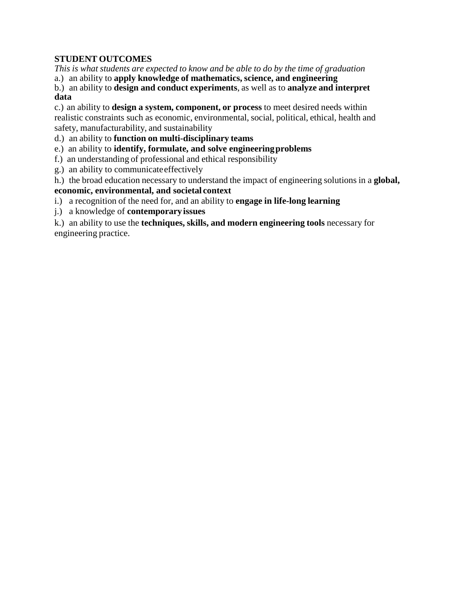# **STUDENT OUTCOMES**

*This is what students are expected to know and be able to do by the time of graduation*

a.) an ability to **apply knowledge of mathematics, science, and engineering**

b.) an ability to **design and conduct experiments**, as well as to **analyze and interpret data**

c.) an ability to **design a system, component, or process** to meet desired needs within realistic constraints such as economic, environmental, social, political, ethical, health and safety, manufacturability, and sustainability

d.) an ability to **function on multi-disciplinary teams**

e.) an ability to **identify, formulate, and solve engineeringproblems**

f.) an understanding of professional and ethical responsibility

g.) an ability to communicateeffectively

h.) the broad education necessary to understand the impact of engineering solutions in a **global,**

# **economic, environmental, and societal context**

i.) a recognition of the need for, and an ability to **engage in life-long learning**

j.) a knowledge of **contemporary issues**

k.) an ability to use the **techniques, skills, and modern engineering tools** necessary for engineering practice.